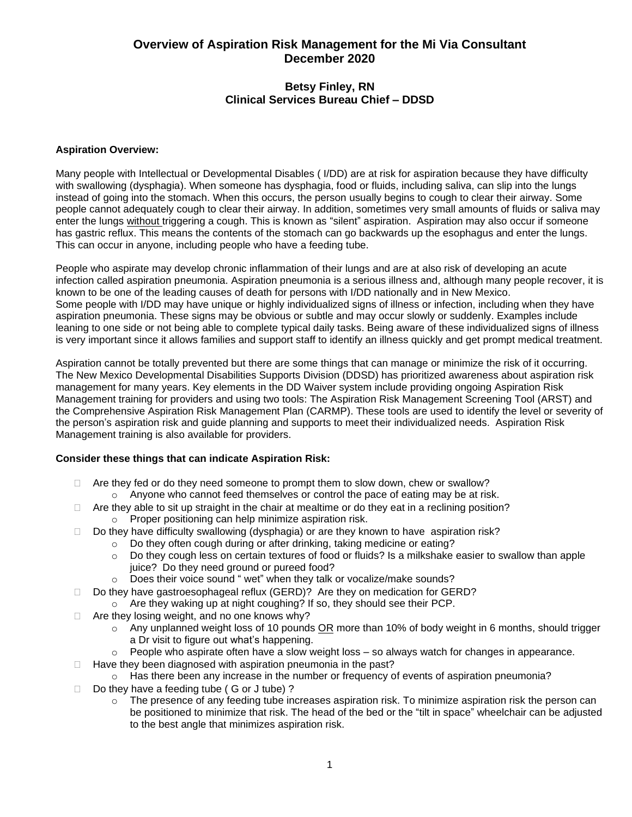# **Overview of Aspiration Risk Management for the Mi Via Consultant December 2020**

## **Betsy Finley, RN Clinical Services Bureau Chief – DDSD**

#### **Aspiration Overview:**

Many people with Intellectual or Developmental Disables ( I/DD) are at risk for aspiration because they have difficulty with swallowing (dysphagia). When someone has dysphagia, food or fluids, including saliva, can slip into the lungs instead of going into the stomach. When this occurs, the person usually begins to cough to clear their airway. Some people cannot adequately cough to clear their airway. In addition, sometimes very small amounts of fluids or saliva may enter the lungs without triggering a cough. This is known as "silent" aspiration. Aspiration may also occur if someone has gastric reflux. This means the contents of the stomach can go backwards up the esophagus and enter the lungs. This can occur in anyone, including people who have a feeding tube.

People who aspirate may develop chronic inflammation of their lungs and are at also risk of developing an acute infection called aspiration pneumonia. Aspiration pneumonia is a serious illness and, although many people recover, it is known to be one of the leading causes of death for persons with I/DD nationally and in New Mexico. Some people with I/DD may have unique or highly individualized signs of illness or infection, including when they have aspiration pneumonia. These signs may be obvious or subtle and may occur slowly or suddenly. Examples include leaning to one side or not being able to complete typical daily tasks. Being aware of these individualized signs of illness is very important since it allows families and support staff to identify an illness quickly and get prompt medical treatment.

Aspiration cannot be totally prevented but there are some things that can manage or minimize the risk of it occurring. The New Mexico Developmental Disabilities Supports Division (DDSD) has prioritized awareness about aspiration risk management for many years. Key elements in the DD Waiver system include providing ongoing Aspiration Risk Management training for providers and using two tools: The Aspiration Risk Management Screening Tool (ARST) and the Comprehensive Aspiration Risk Management Plan (CARMP). These tools are used to identify the level or severity of the person's aspiration risk and guide planning and supports to meet their individualized needs. Aspiration Risk Management training is also available for providers.

### **Consider these things that can indicate Aspiration Risk:**

- $\Box$  Are they fed or do they need someone to prompt them to slow down, chew or swallow?  $\circ$  Anyone who cannot feed themselves or control the pace of eating may be at risk.
- $\Box$  Are they able to sit up straight in the chair at mealtime or do they eat in a reclining position?
	- o Proper positioning can help minimize aspiration risk.
- $\Box$  Do they have difficulty swallowing (dysphagia) or are they known to have aspiration risk?
	- o Do they often cough during or after drinking, taking medicine or eating?
	- $\circ$  Do they cough less on certain textures of food or fluids? Is a milkshake easier to swallow than apple juice? Do they need ground or pureed food?
	- o Does their voice sound " wet" when they talk or vocalize/make sounds?
- □ Do they have gastroesophageal reflux (GERD)? Are they on medication for GERD?
	- o Are they waking up at night coughing? If so, they should see their PCP.
- $\Box$  Are they losing weight, and no one knows why?
	- $\circ$  Any unplanned weight loss of 10 pounds OR more than 10% of body weight in 6 months, should trigger a Dr visit to figure out what's happening.
	- $\circ$  People who aspirate often have a slow weight loss  $-$  so always watch for changes in appearance.
- $\Box$  Have they been diagnosed with aspiration pneumonia in the past?
	- $\circ$  Has there been any increase in the number or frequency of events of aspiration pneumonia?
- $\Box$  Do they have a feeding tube ( G or J tube) ?
	- $\circ$  The presence of any feeding tube increases aspiration risk. To minimize aspiration risk the person can be positioned to minimize that risk. The head of the bed or the "tilt in space" wheelchair can be adjusted to the best angle that minimizes aspiration risk.